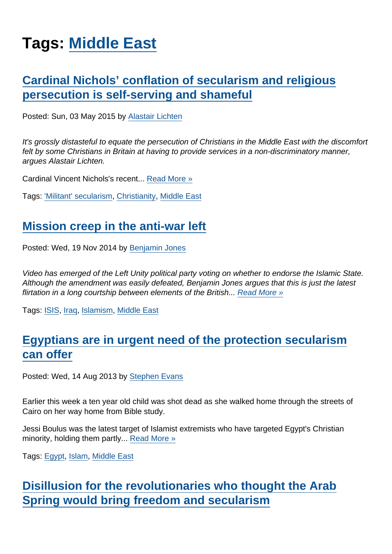## Tags: [Middle East](https://www.secularism.org.uk/opinion/tags/Middle+East)

## [Cardinal Nichols' conflation of secularism and religious](https://www.secularism.org.uk/opinion/2015/05/cardinal-nichols-conflation-of-secularism-and-religious-persecution-is-self-serving-and-shameful) [persecution is self-serving and shameful](https://www.secularism.org.uk/opinion/2015/05/cardinal-nichols-conflation-of-secularism-and-religious-persecution-is-self-serving-and-shameful)

Posted: Sun, 03 May 2015 by [Alastair Lichten](https://www.secularism.org.uk/opinion/authors/847)

It's grossly distasteful to equate the persecution of Christians in the Middle East with the discomfort felt by some Christians in Britain at having to provide services in a non-discriminatory manner, argues Alastair Lichten.

Cardinal Vincent Nichols's recent... [Read More »](https://www.secularism.org.uk/opinion/2015/05/cardinal-nichols-conflation-of-secularism-and-religious-persecution-is-self-serving-and-shameful)

Tags: ['Militant' secularism,](https://www.secularism.org.uk/opinion/tags/) [Christianity,](https://www.secularism.org.uk/opinion/tags/Christianity) [Middle East](https://www.secularism.org.uk/opinion/tags/Middle+East)

## [Mission creep in the anti-war left](https://www.secularism.org.uk/opinion/2014/11/mission-creep-in-the-anti-war-left)

Posted: Wed, 19 Nov 2014 by [Benjamin Jones](https://www.secularism.org.uk/opinion/authors/851)

Video has emerged of the Left Unity political party voting on whether to endorse the Islamic State. Although the amendment was easily defeated, Benjamin Jones argues that this is just the latest flirtation in a long courtship between elements of the British... [Read More »](https://www.secularism.org.uk/opinion/2014/11/mission-creep-in-the-anti-war-left)

Tags: [ISIS](https://www.secularism.org.uk/opinion/tags/ISIS), [Iraq](https://www.secularism.org.uk/opinion/tags/Iraq), [Islamism](https://www.secularism.org.uk/opinion/tags/Islamism), [Middle East](https://www.secularism.org.uk/opinion/tags/Middle+East)

## [Egyptians are in urgent need of the protection secularism](https://www.secularism.org.uk/opinion/2013/08/egyptians-are-in-urgent-need-of-the-protection-secularism-can-offer) [can offer](https://www.secularism.org.uk/opinion/2013/08/egyptians-are-in-urgent-need-of-the-protection-secularism-can-offer)

Posted: Wed, 14 Aug 2013 by [Stephen Evans](https://www.secularism.org.uk/opinion/authors/845)

Earlier this week a ten year old child was shot dead as she walked home through the streets of Cairo on her way home from Bible study.

Jessi Boulus was the latest target of Islamist extremists who have targeted Egypt's Christian minority, holding them partly... [Read More »](https://www.secularism.org.uk/opinion/2013/08/egyptians-are-in-urgent-need-of-the-protection-secularism-can-offer)

Tags: [Egypt](https://www.secularism.org.uk/opinion/tags/Egypt), [Islam](https://www.secularism.org.uk/opinion/tags/Islam), [Middle East](https://www.secularism.org.uk/opinion/tags/Middle+East)

[Disillusion for the revolutionaries who thought the Arab](https://www.secularism.org.uk/opinion/2012/08/disillusion-for-the-revolutionaries-who-thought-the-arab-spring-would-bring-freedom-and-secularism) [Spring would bring freedom and secularism](https://www.secularism.org.uk/opinion/2012/08/disillusion-for-the-revolutionaries-who-thought-the-arab-spring-would-bring-freedom-and-secularism)